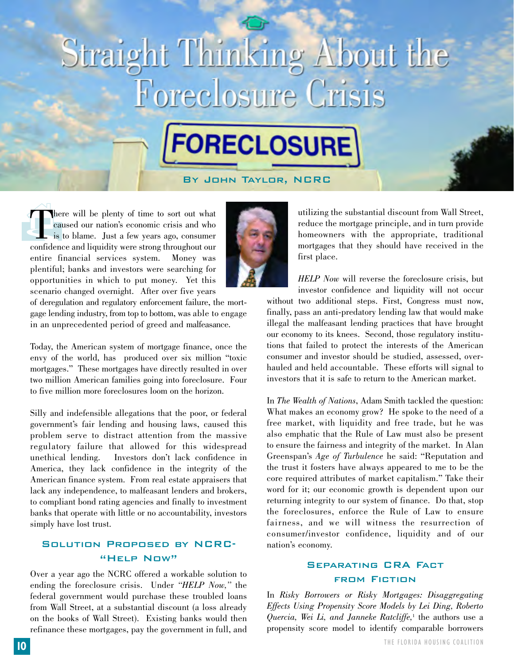# traight Thinking About the Foreclosure Crisis

## **FORECLOSURE**

#### By John Taylor, NCRC

There will be plenty of time to sort out what<br>caused our nation's economic crisis and who<br>is to blame. Just a few years ago, consumer<br>confidence and liquidity were strong throughout our caused our nation's economic crisis and who is to blame. Just a few years ago, consumer confidence and liquidity were strong throughout our entire financial services system. Money was plentiful; banks and investors were searching for opportunities in which to put money. Yet this scenario changed overnight. After over five years



of deregulation and regulatory enforcement failure, the mortgage lending industry, from top to bottom, was able to engage in an unprecedented period of greed and malfeasance.

Today, the American system of mortgage finance, once the envy of the world, has produced over six million "toxic mortgages." These mortgages have directly resulted in over two million American families going into foreclosure. Four to five million more foreclosures loom on the horizon.

Silly and indefensible allegations that the poor, or federal government's fair lending and housing laws, caused this problem serve to distract attention from the massive regulatory failure that allowed for this widespread unethical lending. Investors don't lack confidence in America, they lack confidence in the integrity of the American finance system. From real estate appraisers that lack any independence, to malfeasant lenders and brokers, to compliant bond rating agencies and finally to investment banks that operate with little or no accountability, investors simply have lost trust.

#### Solution Proposed by NCRC- "Help Now"

Over a year ago the NCRC offered a workable solution to ending the foreclosure crisis. Under *"HELP Now,"* the federal government would purchase these troubled loans from Wall Street, at a substantial discount (a loss already on the books of Wall Street). Existing banks would then refinance these mortgages, pay the government in full, and

utilizing the substantial discount from Wall Street, reduce the mortgage principle, and in turn provide homeowners with the appropriate, traditional mortgages that they should have received in the first place.

*HELP Now* will reverse the foreclosure crisis, but investor confidence and liquidity will not occur

without two additional steps. First, Congress must now, finally, pass an anti-predatory lending law that would make illegal the malfeasant lending practices that have brought our economy to its knees. Second, those regulatory institutions that failed to protect the interests of the American consumer and investor should be studied, assessed, overhauled and held accountable. These efforts will signal to investors that it is safe to return to the American market.

In *The Wealth of Nations*, Adam Smith tackled the question: What makes an economy grow? He spoke to the need of a free market, with liquidity and free trade, but he was also emphatic that the Rule of Law must also be present to ensure the fairness and integrity of the market. In Alan Greenspan's *Age of Turbulence* he said: "Reputation and the trust it fosters have always appeared to me to be the core required attributes of market capitalism." Take their word for it; our economic growth is dependent upon our returning integrity to our system of finance. Do that, stop the foreclosures, enforce the Rule of Law to ensure fairness, and we will witness the resurrection of consumer/investor confidence, liquidity and of our nation's economy.

#### Separating CRA Fact from Fiction

In *Risky Borrowers or Risky Mortgages: Disaggregating Effects Using Propensity Score Models by Lei Ding, Roberto Quercia, Wei Li, and Janneke Ratcliffe,*<sup>1</sup> the authors use a propensity score model to identify comparable borrowers